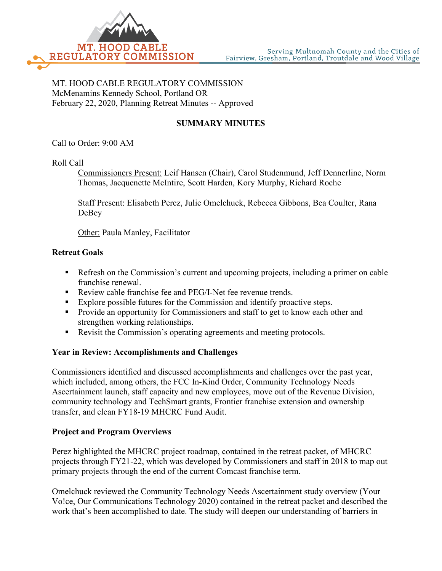

MT. HOOD CABLE REGULATORY COMMISSION McMenamins Kennedy School, Portland OR February 22, 2020, Planning Retreat Minutes -- Approved

# **SUMMARY MINUTES**

Call to Order: 9:00 AM

Roll Call

Commissioners Present: Leif Hansen (Chair), Carol Studenmund, Jeff Dennerline, Norm Thomas, Jacquenette McIntire, Scott Harden, Kory Murphy, Richard Roche

Staff Present: Elisabeth Perez, Julie Omelchuck, Rebecca Gibbons, Bea Coulter, Rana DeBey

Other: Paula Manley, Facilitator

### **Retreat Goals**

- Refresh on the Commission's current and upcoming projects, including a primer on cable franchise renewal.
- Review cable franchise fee and PEG/I-Net fee revenue trends.
- Explore possible futures for the Commission and identify proactive steps.
- **Provide an opportunity for Commissioners and staff to get to know each other and** strengthen working relationships.
- Revisit the Commission's operating agreements and meeting protocols.

#### **Year in Review: Accomplishments and Challenges**

Commissioners identified and discussed accomplishments and challenges over the past year, which included, among others, the FCC In-Kind Order, Community Technology Needs Ascertainment launch, staff capacity and new employees, move out of the Revenue Division, community technology and TechSmart grants, Frontier franchise extension and ownership transfer, and clean FY18-19 MHCRC Fund Audit.

#### **Project and Program Overviews**

Perez highlighted the MHCRC project roadmap, contained in the retreat packet, of MHCRC projects through FY21-22, which was developed by Commissioners and staff in 2018 to map out primary projects through the end of the current Comcast franchise term.

Omelchuck reviewed the Community Technology Needs Ascertainment study overview (Your Vo!ce, Our Communications Technology 2020) contained in the retreat packet and described the work that's been accomplished to date. The study will deepen our understanding of barriers in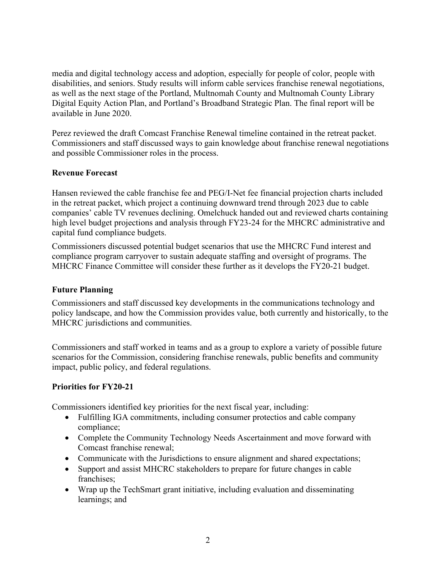media and digital technology access and adoption, especially for people of color, people with disabilities, and seniors. Study results will inform cable services franchise renewal negotiations, as well as the next stage of the Portland, Multnomah County and Multnomah County Library Digital Equity Action Plan, and Portland's Broadband Strategic Plan. The final report will be available in June 2020.

Perez reviewed the draft Comcast Franchise Renewal timeline contained in the retreat packet. Commissioners and staff discussed ways to gain knowledge about franchise renewal negotiations and possible Commissioner roles in the process.

## **Revenue Forecast**

Hansen reviewed the cable franchise fee and PEG/I-Net fee financial projection charts included in the retreat packet, which project a continuing downward trend through 2023 due to cable companies' cable TV revenues declining. Omelchuck handed out and reviewed charts containing high level budget projections and analysis through FY23-24 for the MHCRC administrative and capital fund compliance budgets.

Commissioners discussed potential budget scenarios that use the MHCRC Fund interest and compliance program carryover to sustain adequate staffing and oversight of programs. The MHCRC Finance Committee will consider these further as it develops the FY20-21 budget.

### **Future Planning**

Commissioners and staff discussed key developments in the communications technology and policy landscape, and how the Commission provides value, both currently and historically, to the MHCRC jurisdictions and communities.

Commissioners and staff worked in teams and as a group to explore a variety of possible future scenarios for the Commission, considering franchise renewals, public benefits and community impact, public policy, and federal regulations.

#### **Priorities for FY20-21**

Commissioners identified key priorities for the next fiscal year, including:

- Fulfilling IGA commitments, including consumer protectios and cable company compliance;
- Complete the Community Technology Needs Ascertainment and move forward with Comcast franchise renewal;
- Communicate with the Jurisdictions to ensure alignment and shared expectations;
- Support and assist MHCRC stakeholders to prepare for future changes in cable franchises;
- Wrap up the TechSmart grant initiative, including evaluation and disseminating learnings; and